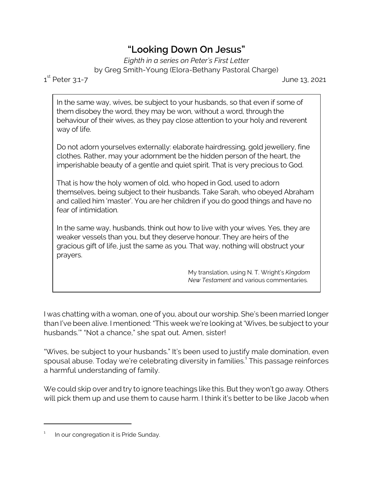## **"Looking Down On Jesus"**

*Eighth in a series on Peter's First Letter* by Greg Smith-Young (Elora-Bethany Pastoral Charge)

 $1^{\text{st}}$ 

June 13, 2021

In the same way, wives, be subject to your husbands, so that even if some of them disobey the word, they may be won, without a word, through the behaviour of their wives, as they pay close attention to your holy and reverent way of life.

Do not adorn yourselves externally: elaborate hairdressing, gold jewellery, fine clothes. Rather, may your adornment be the hidden person of the heart, the imperishable beauty of a gentle and quiet spirit. That is very precious to God.

That is how the holy women of old, who hoped in God, used to adorn themselves, being subject to their husbands. Take Sarah, who obeyed Abraham and called him 'master'. You are her children if you do good things and have no fear of intimidation.

In the same way, husbands, think out how to live with your wives. Yes, they are weaker vessels than you, but they deserve honour. They are heirs of the gracious gift of life, just the same as you. That way, nothing will obstruct your prayers.

> My translation, using N. T. Wright's *Kingdom New Testament* and various commentaries.

I was chatting with a woman, one of you, about our worship. She's been married longer than I've been alive. I mentioned: "This week we're looking at 'Wives, be subject to your husbands.'" "Not a chance," she spat out. Amen, sister!

"Wives, be subject to your husbands." It's been used to justify male domination, even spousal abuse. Today we're celebrating diversity in families. $^{\rm 1}$  This passage reinforces a harmful understanding of family.

We could skip over and try to ignore teachings like this. But they won't go away. Others will pick them up and use them to cause harm. I think it's better to be like Jacob when

<sup>1</sup> In our congregation it is Pride Sunday.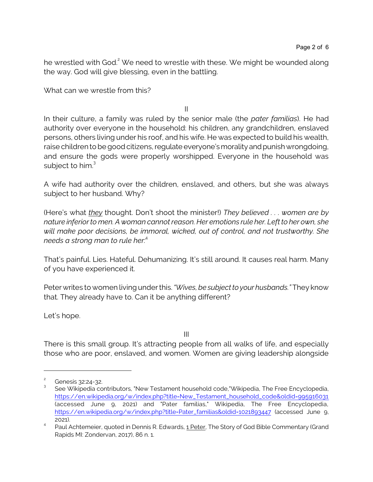he wrestled with God.<sup>2</sup> We need to wrestle with these. We might be wounded along the way. God will give blessing, even in the battling.

What can we wrestle from this?

II

In their culture, a family was ruled by the senior male (the *pater familias*). He had authority over everyone in the household: his children, any grandchildren, enslaved persons, others living under his roof, and his wife. He was expected to build his wealth, raise children to be good citizens, regulate everyone's morality and punish wrongdoing, and ensure the gods were properly worshipped. Everyone in the household was subject to him. $3$ 

A wife had authority over the children, enslaved, and others, but she was always subject to her husband. Why?

(Here's what *they* thought. Don't shoot the minister!) *They believed . . . women are by nature inferior to men. A woman cannot reason. Her emotions rule her. Left to her own, she will make poor decisions, be immoral, wicked, out of control, and not trustworthy. She needs a strong man to rule her:*<sup>4</sup>

That's painful. Lies. Hateful. Dehumanizing. It's still around. It causes real harm. Many of you have experienced it.

Peter writes to women living under this. *"Wives, be subject to your husbands."* They know that. They already have to. Can it be anything different?

Let's hope.

III

There is this small group. It's attracting people from all walks of life, and especially those who are poor, enslaved, and women. Women are giving leadership alongside

<sup>2</sup> Genesis 32:24-32.

<sup>3</sup> See Wikipedia contributors, "New Testament household code,"Wikipedia, The Free Encyclopedia, [https://en.wikipedia.org/w/index.php?title=New\\_Testament\\_household\\_code&oldid=995916031](https://en.wikipedia.org/w/index.php?title=New_Testament_household_code&oldid=995916031) (accessed June 9, 2021) and "Pater familias," Wikipedia, The Free Encyclopedia, [https://en.wikipedia.org/w/index.php?title=Pater\\_familias&oldid=1021893447](https://en.wikipedia.org/w/index.php?title=Pater_familias&oldid=1021893447) (accessed June 9, 2021).

<sup>4</sup> Paul Achtemeier, quoted in Dennis R. Edwards, 1 Peter, The Story of God Bible Commentary (Grand Rapids MI: Zondervan, 2017), 86 n. 1.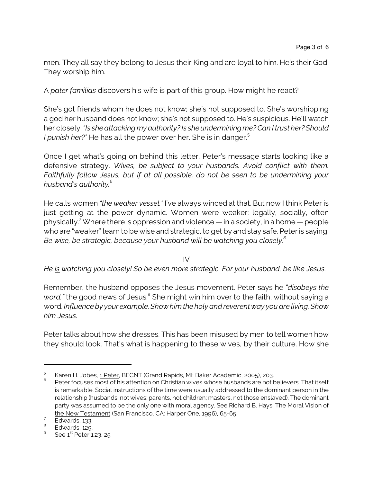men. They all say they belong to Jesus their King and are loyal to him. He's their God. They worship him.

A *pater familias* discovers his wife is part of this group. How might he react?

She's got friends whom he does not know; she's not supposed to. She's worshipping a god her husband does not know; she's not supposed to. He's suspicious. He'll watch her closely. *"Is she attacking my authority? Is she undermining me? Can I trust her? Should I punish her?"* He has all the power over her. She is in danger. 5

Once I get what's going on behind this letter, Peter's message starts looking like a defensive strategy. *Wives, be subject to your husbands. Avoid conflict with them. Faithfully follow Jesus, but if at all possible, do not be seen to be undermining your husband's authority.<sup>6</sup>*

He calls women *"the weaker vessel."* I've always winced at that. But now I think Peter is just getting at the power dynamic. Women were weaker: legally, socially, often physically.<sup>7</sup> Where there is oppression and violence — in a society, in a home — people who are "weaker" learn to be wise and strategic, to get by and stay safe. Peter is saying: *Be wise, be strategic, because your husband will be watching you closely.<sup>8</sup>*

IV

*He is watching you closely! So be even more strategic. For your husband, be like Jesus.*

Remember, the husband opposes the Jesus movement. Peter says he *"disobeys the word,"* the good news of Jesus. 9 She might win him over to the faith, without saying a word. *Influence by your example. Show him the holy and reverent way you are living. Show him Jesus.*

Peter talks about how she dresses. This has been misused by men to tell women how they should look. That's what is happening to these wives, by their culture. How she

<sup>5</sup> Karen H. Jobes, 1 Peter, BECNT (Grand Rapids, MI: Baker Academic, 2005), 203.

<sup>6</sup> Peter focuses most of his attention on Christian wives whose husbands are not believers. That itself is remarkable. Social instructions of the time were usually addressed to the dominant person in the relationship (husbands, not wives; parents, not children; masters, not those enslaved). The dominant party was assumed to be the only one with moral agency. See Richard B. Hays, The Moral Vision of the New Testament (San Francisco, CA: Harper One, 1996), 65-65.

<sup>7</sup> Edwards, 133.

<sup>8</sup> Edwards, 129.

<sup>9</sup> See  $1<sup>st</sup>$  Peter 1:23, 25.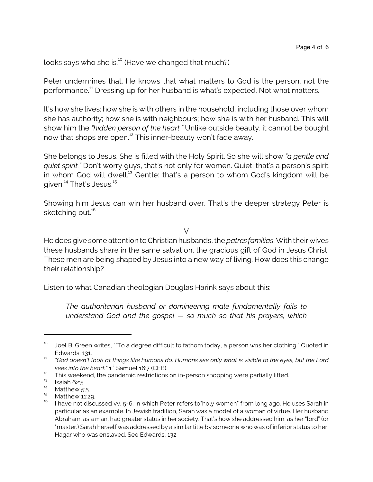looks says who she is.<sup>10</sup> (Have we changed that much?)

Peter undermines that. He knows that what matters to God is the person, not the performance.<sup>11</sup> Dressing up for her husband is what's expected. Not what matters.

It's how she lives: how she is with others in the household, including those over whom she has authority; how she is with neighbours; how she is with her husband. This will show him the *"hidden person of the heart."* Unlike outside beauty, it cannot be bought now that shops are open.<sup>12</sup> This inner-beauty won't fade away.

She belongs to Jesus. She is filled with the Holy Spirit. So she will show *"a gentle and quiet spirit."* Don't worry guys, that's not only for women. Quiet: that's a person's spirit in whom God will dwell. $^{\rm 13}$  Gentle: that's a person to whom God's kingdom will be given.<sup>14</sup> That's Jesus.<sup>15</sup>

Showing him Jesus can win her husband over. That's the deeper strategy Peter is sketching out.<sup>16</sup>

 $\sqrt{}$ 

He does give some attention to Christian husbands, the *patres familias*. With their wives these husbands share in the same salvation, the gracious gift of God in Jesus Christ. These men are being shaped by Jesus into a new way of living. How does this change their relationship?

Listen to what Canadian theologian Douglas Harink says about this:

*The authoritarian husband or domineering male fundamentally fails to understand God and the gospel — so much so that his prayers, which*

<sup>10</sup> Joel B. Green writes, ""To a degree difficult to fathom today, a person *was* her clothing." Quoted in Edwards, 131.

<sup>11</sup> *"God doesn't look at things like humans do. Humans see only what is visible to the eyes, but the Lord sees into the heart."* 1<sup>st</sup> Samuel 16:7 (CEB).

<sup>&</sup>lt;sup>12</sup> This weekend, the pandemic restrictions on in-person shopping were partially lifted.

 $13$  Isaiah 62:5.

 $^{14}$  Matthew 5:5.

Matthew 11:29.

I have not discussed vv. 5-6, in which Peter refers to"holy women" from long ago. He uses Sarah in particular as an example. In Jewish tradition, Sarah was a model of a woman of virtue. Her husband Abraham, as a man, had greater status in her society. That's how she addressed him, as her "lord" (or "master.) Sarah herself was addressed by a similar title by someone who was of inferior status to her, Hagar who was enslaved. See Edwards, 132.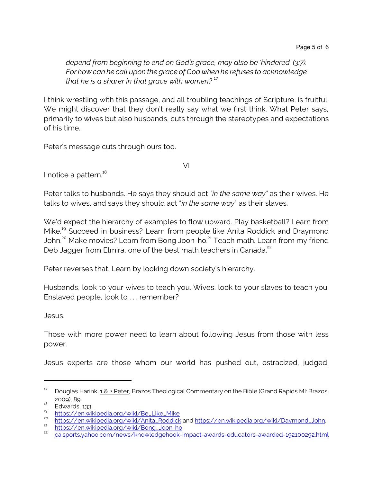*depend from beginning to end on God's grace, may also be 'hindered' (3:7). For how can he call upon the grace of God when he refuses to acknowledge that he is a sharer in that grace with women?* <sup>17</sup>

I think wrestling with this passage, and all troubling teachings of Scripture, is fruitful. We might discover that they don't really say what we first think. What Peter says, primarily to wives but also husbands, cuts through the stereotypes and expectations of his time.

Peter's message cuts through ours too.

I notice a pattern.<sup>18</sup>

Peter talks to husbands. He says they should act *"in the same way"* as their wives. He talks to wives, and says they should act "*in the same way*" as their slaves.

VI

We'd expect the hierarchy of examples to flow upward. Play basketball? Learn from Mike.<sup>19</sup> Succeed in business? Learn from people like Anita Roddick and Draymond John.<sup>20</sup> Make movies? Learn from Bong Joon-ho.<sup>21</sup> Teach math. Learn from my friend Deb Jagger from Elmira, one of the best math teachers in Canada.<sup>22</sup>

Peter reverses that. Learn by looking down society's hierarchy.

Husbands, look to your wives to teach you. Wives, look to your slaves to teach you. Enslaved people, look to . . . remember?

Jesus.

Those with more power need to learn about following Jesus from those with less power.

Jesus experts are those whom our world has pushed out, ostracized, judged,

<sup>&</sup>lt;sup>17</sup> Douglas Harink, 1 & 2 Peter, Brazos Theological Commentary on the Bible (Grand Rapids MI: Brazos, 2009), 89.

 $18$  Edwards, 133.

<sup>&</sup>lt;sup>19</sup> [https://en.wikipedia.org/wiki/Be\\_Like\\_Mike](https://en.wikipedia.org/wiki/Be_Like_Mike)

<sup>&</sup>lt;sup>20</sup> [https://en.wikipedia.org/wiki/Anita\\_Roddick](https://en.wikipedia.org/wiki/Anita_Roddick) and [https://en.wikipedia.org/wiki/Daymond\\_John](https://en.wikipedia.org/wiki/Daymond_John).

<sup>21</sup> [https://en.wikipedia.org/wiki/Bong\\_Joon-ho](https://en.wikipedia.org/wiki/Bong_Joon-ho)

<sup>22</sup> [ca.sports.yahoo.com/news/knowledgehook-impact-awards-educators-awarded-192100292.html](https://ca.sports.yahoo.com/news/knowledgehook-impact-awards-educators-awarded-192100292.html)